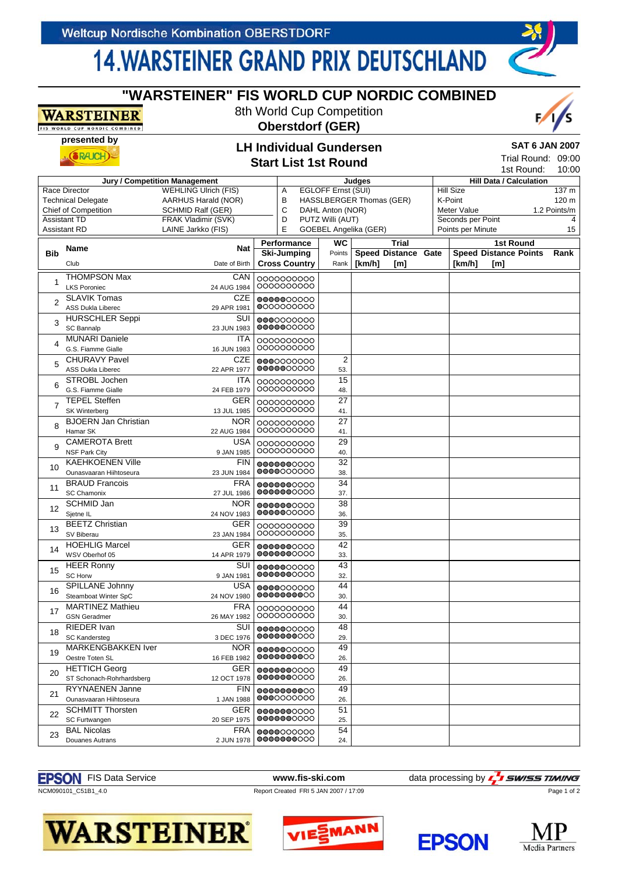## **14. WARSTEINER GRAND PRIX DEUTSCHLAND**

**"WARSTEINER" FIS WORLD CUP NORDIC COMBINED** 8th World Cup Competition

| WARSTEINER<br>FIS WORLD CUP NORDIC COMBINED |                                                    | 8th World Cup Competition<br><b>Oberstdorf (GER)</b> |                                                               |                               |                         |                                                  |     |  |                                                                    |                                        |                                |              |
|---------------------------------------------|----------------------------------------------------|------------------------------------------------------|---------------------------------------------------------------|-------------------------------|-------------------------|--------------------------------------------------|-----|--|--------------------------------------------------------------------|----------------------------------------|--------------------------------|--------------|
|                                             | presented by<br>RAK                                |                                                      | <b>LH Individual Gundersen</b><br><b>Start List 1st Round</b> |                               |                         |                                                  |     |  | <b>SAT 6 JAN 2007</b><br>Trial Round: 09:00<br>1st Round:<br>10:00 |                                        |                                |              |
|                                             |                                                    | Jury / Competition Management                        |                                                               |                               |                         | Judges                                           |     |  |                                                                    |                                        | <b>Hill Data / Calculation</b> |              |
| Race Director                               |                                                    | <b>WEHLING Ulrich (FIS)</b>                          |                                                               |                               | EGLOFF Ernst (SUI)<br>Α |                                                  |     |  | <b>Hill Size</b>                                                   |                                        |                                | 137 m        |
|                                             | <b>Technical Delegate</b>                          | AARHUS Harald (NOR)                                  |                                                               | в<br>HASSLBERGER Thomas (GER) |                         |                                                  |     |  | K-Point                                                            |                                        |                                | 120 m        |
| <b>Chief of Competition</b>                 |                                                    | <b>SCHMID Ralf (GER)</b>                             | C                                                             |                               |                         | DAHL Anton (NOR)                                 |     |  | Meter Value                                                        |                                        |                                | 1.2 Points/m |
| <b>Assistant TD</b><br><b>Assistant RD</b>  |                                                    | FRAK Vladimir (SVK)<br>LAINE Jarkko (FIS)            | D<br>E                                                        |                               |                         | PUTZ Willi (AUT)<br><b>GOEBEL Angelika (GER)</b> |     |  |                                                                    | Seconds per Point<br>Points per Minute |                                | 4<br>15      |
|                                             |                                                    |                                                      |                                                               | Performance                   |                         | WC<br><b>Trial</b>                               |     |  |                                                                    |                                        | <b>1st Round</b>               |              |
| <b>Bib</b>                                  | Name                                               | <b>Nat</b>                                           |                                                               | <b>Ski-Jumping</b>            | Points                  | <b>Speed Distance Gate</b>                       |     |  |                                                                    |                                        | <b>Speed Distance Points</b>   | Rank         |
|                                             | Club                                               | Date of Birth                                        |                                                               | <b>Cross Country</b>          | Rank                    | [km/h]                                           | [m] |  | [km/h]                                                             | [m]                                    |                                |              |
| 1                                           | <b>THOMPSON Max</b>                                | CAN                                                  | 0000000000<br>0000000000                                      |                               |                         |                                                  |     |  |                                                                    |                                        |                                |              |
|                                             | <b>LKS Poroniec</b>                                | 24 AUG 1984<br>CZE                                   |                                                               |                               |                         |                                                  |     |  |                                                                    |                                        |                                |              |
| $\overline{2}$                              | <b>SLAVIK Tomas</b><br><b>ASS Dukla Liberec</b>    | 29 APR 1981                                          | 0000000000<br>0000000000                                      |                               |                         |                                                  |     |  |                                                                    |                                        |                                |              |
| 3                                           | <b>HURSCHLER Seppi</b>                             | SUI                                                  | 0000000000                                                    |                               |                         |                                                  |     |  |                                                                    |                                        |                                |              |
|                                             | SC Bannalp                                         | 23 JUN 1983                                          |                                                               | 0000000000                    |                         |                                                  |     |  |                                                                    |                                        |                                |              |
| 4                                           | <b>MUNARI Daniele</b><br>G.S. Fiamme Gialle        | ITA<br>16 JUN 1983                                   |                                                               | 0000000000<br>0000000000      |                         |                                                  |     |  |                                                                    |                                        |                                |              |
| 5                                           | <b>CHURAVY Pavel</b>                               | CZE                                                  |                                                               | 0000000000                    | 2                       |                                                  |     |  |                                                                    |                                        |                                |              |
|                                             | <b>ASS Dukla Liberec</b>                           | 22 APR 1977                                          |                                                               | 0000000000                    | 53.                     |                                                  |     |  |                                                                    |                                        |                                |              |
| 6                                           | STROBL Jochen                                      | <b>ITA</b>                                           |                                                               | 0000000000                    | 15                      |                                                  |     |  |                                                                    |                                        |                                |              |
|                                             | G.S. Fiamme Gialle<br><b>TEPEL</b> Steffen         | 24 FEB 1979                                          |                                                               | 0000000000                    | 48.                     |                                                  |     |  |                                                                    |                                        |                                |              |
| 7                                           | <b>SK Winterberg</b>                               | GER<br>13 JUL 1985                                   |                                                               | 0000000000<br>0000000000      | 27<br>41.               |                                                  |     |  |                                                                    |                                        |                                |              |
|                                             | <b>BJOERN Jan Christian</b>                        | <b>NOR</b>                                           |                                                               | 0000000000                    | 27                      |                                                  |     |  |                                                                    |                                        |                                |              |
| 8                                           | Hamar SK                                           | 22 AUG 1984                                          |                                                               | 0000000000                    | 41.                     |                                                  |     |  |                                                                    |                                        |                                |              |
| 9                                           | <b>CAMEROTA Brett</b>                              | <b>USA</b>                                           |                                                               | 0000000000                    | 29                      |                                                  |     |  |                                                                    |                                        |                                |              |
|                                             | <b>NSF Park City</b>                               | 9 JAN 1985                                           |                                                               | 0000000000                    | 40.                     |                                                  |     |  |                                                                    |                                        |                                |              |
| 10                                          | <b>KAEHKOENEN Ville</b><br>Ounasvaaran Hiihtoseura | <b>FIN</b><br>23 JUN 1984                            |                                                               | 0000000000<br>0000000000      | 32<br>38.               |                                                  |     |  |                                                                    |                                        |                                |              |
|                                             | <b>BRAUD Francois</b>                              | <b>FRA</b>                                           |                                                               | 0000000000                    | 34                      |                                                  |     |  |                                                                    |                                        |                                |              |
| 11                                          | <b>SC Chamonix</b>                                 | 27 JUL 1986                                          |                                                               | 0000000000                    | 37.                     |                                                  |     |  |                                                                    |                                        |                                |              |
| 12                                          | SCHMID Jan                                         | <b>NOR</b>                                           |                                                               | 0000000000                    | 38                      |                                                  |     |  |                                                                    |                                        |                                |              |
|                                             | Sjetne IL                                          | 24 NOV 1983                                          |                                                               | 0000000000                    | 36.                     |                                                  |     |  |                                                                    |                                        |                                |              |
| 13                                          | <b>BEETZ Christian</b>                             | GER                                                  |                                                               | 0000000000<br>0000000000      | 39                      |                                                  |     |  |                                                                    |                                        |                                |              |
|                                             | SV Biberau<br><b>HOEHLIG Marcel</b>                | 23 JAN 1984<br>GER                                   |                                                               |                               | 35.<br>42               |                                                  |     |  |                                                                    |                                        |                                |              |
| 14                                          | WSV Oberhof 05                                     | 14 APR 1979                                          |                                                               | 0000000000<br>0000000000      | 33.                     |                                                  |     |  |                                                                    |                                        |                                |              |
|                                             | <b>HEER Ronny</b>                                  | SUI                                                  |                                                               | 0000000000                    | 43                      |                                                  |     |  |                                                                    |                                        |                                |              |
| 15                                          | <b>SC Horw</b>                                     | 9 JAN 1981                                           |                                                               | 0000000000                    | 32.                     |                                                  |     |  |                                                                    |                                        |                                |              |
| 16                                          | SPILLANE Johnny                                    | <b>USA</b>                                           |                                                               | 0000000000                    | 44                      |                                                  |     |  |                                                                    |                                        |                                |              |
|                                             | Steamboat Winter SpC                               | 24 NOV 1980                                          |                                                               | 0000000000                    | 30.                     |                                                  |     |  |                                                                    |                                        |                                |              |
| 17                                          | <b>MARTINEZ Mathieu</b><br><b>GSN</b> Geradmer     | FRA<br>26 MAY 1982                                   |                                                               | 0000000000<br>0000000000      | 44<br>30.               |                                                  |     |  |                                                                    |                                        |                                |              |
| 18                                          | <b>RIEDER</b> Ivan                                 | SUI                                                  |                                                               | 0000000000                    | 48                      |                                                  |     |  |                                                                    |                                        |                                |              |
|                                             | <b>SC Kandersteg</b>                               | 3 DEC 1976                                           |                                                               | 0000000000                    | 29.                     |                                                  |     |  |                                                                    |                                        |                                |              |
| 19                                          | <b>MARKENGBAKKEN Iver</b><br>Oestre Toten SL       | <b>NOR</b><br>16 FEB 1982                            |                                                               | 0000000000<br>0000000000      | 49<br>26.               |                                                  |     |  |                                                                    |                                        |                                |              |
| 20                                          | <b>HETTICH Georg</b>                               | GER                                                  |                                                               | 0000000000                    | 49                      |                                                  |     |  |                                                                    |                                        |                                |              |
|                                             | ST Schonach-Rohrhardsberg                          | 12 OCT 1978                                          |                                                               | 0000000000                    | 26.                     |                                                  |     |  |                                                                    |                                        |                                |              |
| 21                                          | RYYNAENEN Janne<br>Ounasvaaran Hiihtoseura         | <b>FIN</b><br>1 JAN 1988                             |                                                               | 0000000000<br>0000000000      | 49<br>26.               |                                                  |     |  |                                                                    |                                        |                                |              |
|                                             | <b>SCHMITT Thorsten</b>                            | GER                                                  |                                                               | 0000000000                    | 51                      |                                                  |     |  |                                                                    |                                        |                                |              |
| 22                                          | SC Furtwangen                                      | 20 SEP 1975                                          |                                                               | 0000000000                    | 25.                     |                                                  |     |  |                                                                    |                                        |                                |              |
| 23                                          | <b>BAL Nicolas</b>                                 | <b>FRA</b>                                           |                                                               | 0000000000                    | 54                      |                                                  |     |  |                                                                    |                                        |                                |              |
|                                             | Douanes Autrans                                    | 2 JUN 1978                                           |                                                               | 0000000000                    | 24.                     |                                                  |     |  |                                                                    |                                        |                                |              |



*SWISS TIMING* Page 1 of 2

NCM090101\_C51B1\_4.0 Report Created FRI 5 JAN 2007 / 17:09